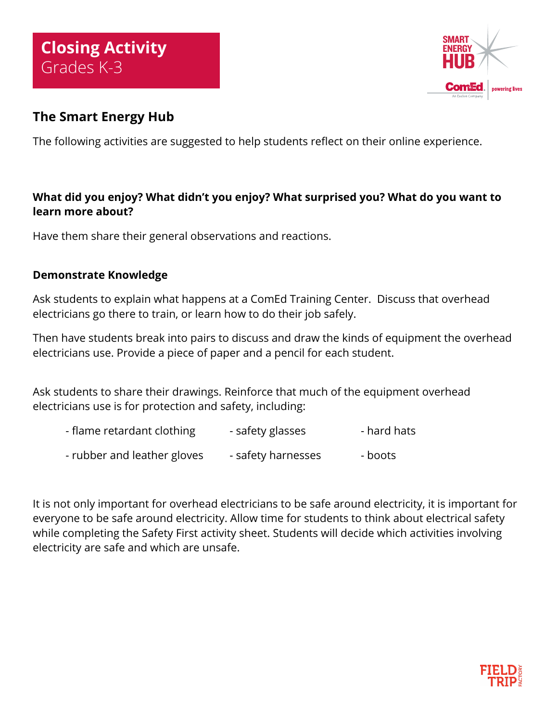

## **The Smart Energy Hub**

The following activities are suggested to help students reflect on their online experience.

## **What did you enjoy? What didn't you enjoy? What surprised you? What do you want to learn more about?**

Have them share their general observations and reactions.

## **Demonstrate Knowledge**

Ask students to explain what happens at a ComEd Training Center. Discuss that overhead electricians go there to train, or learn how to do their job safely.

Then have students break into pairs to discuss and draw the kinds of equipment the overhead electricians use. Provide a piece of paper and a pencil for each student.

Ask students to share their drawings. Reinforce that much of the equipment overhead electricians use is for protection and safety, including:

- flame retardant clothing example safety glasses than that hats
- rubber and leather gloves safety harnesses boots

It is not only important for overhead electricians to be safe around electricity, it is important for everyone to be safe around electricity. Allow time for students to think about electrical safety while completing the Safety First activity sheet. Students will decide which activities involving electricity are safe and which are unsafe.